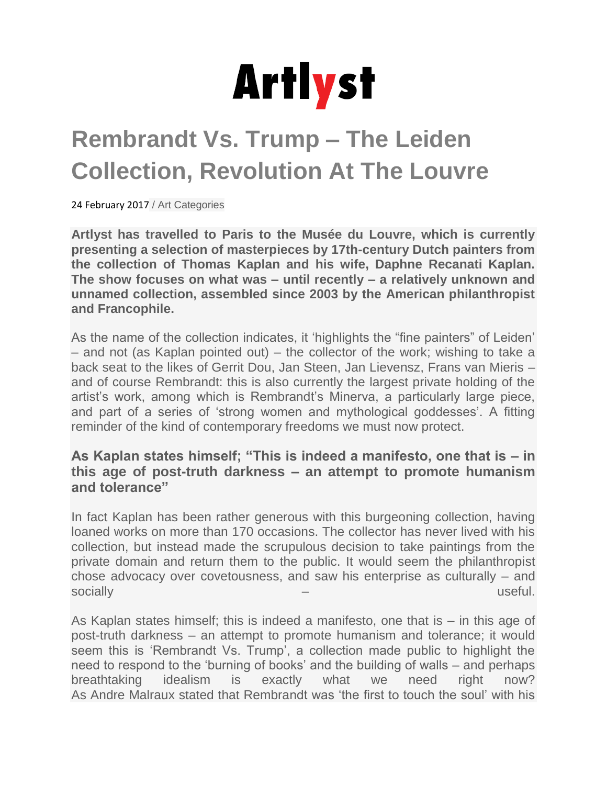

## **Rembrandt Vs. Trump – The Leiden Collection, Revolution At The Louvre**

24 February 2017 / Art Categories

**Artlyst has travelled to Paris to the Musée du Louvre, which is currently presenting a selection of masterpieces by 17th-century Dutch painters from the collection of Thomas Kaplan and his wife, Daphne Recanati Kaplan. The show focuses on what was – until recently – a relatively unknown and unnamed collection, assembled since 2003 by the American philanthropist and Francophile.**

As the name of the collection indicates, it 'highlights the "fine painters" of Leiden' – and not (as Kaplan pointed out) – the collector of the work; wishing to take a back seat to the likes of Gerrit Dou, Jan Steen, Jan Lievensz, Frans van Mieris – and of course Rembrandt: this is also currently the largest private holding of the artist's work, among which is Rembrandt's Minerva, a particularly large piece, and part of a series of 'strong women and mythological goddesses'. A fitting reminder of the kind of contemporary freedoms we must now protect.

## **As Kaplan states himself; "This is indeed a manifesto, one that is – in this age of post-truth darkness – an attempt to promote humanism and tolerance"**

In fact Kaplan has been rather generous with this burgeoning collection, having loaned works on more than 170 occasions. The collector has never lived with his collection, but instead made the scrupulous decision to take paintings from the private domain and return them to the public. It would seem the philanthropist chose advocacy over covetousness, and saw his enterprise as culturally – and socially – useful.

As Kaplan states himself; this is indeed a manifesto, one that is – in this age of post-truth darkness – an attempt to promote humanism and tolerance; it would seem this is 'Rembrandt Vs. Trump', a collection made public to highlight the need to respond to the 'burning of books' and the building of walls – and perhaps breathtaking idealism is exactly what we need right now? As Andre Malraux stated that Rembrandt was 'the first to touch the soul' with his